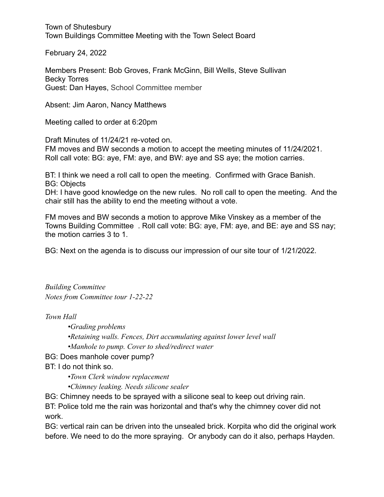Town of Shutesbury Town Buildings Committee Meeting with the Town Select Board

February 24, 2022

Members Present: Bob Groves, Frank McGinn, Bill Wells, Steve Sullivan Becky Torres Guest: Dan Hayes, School Committee member

Absent: Jim Aaron, Nancy Matthews

Meeting called to order at 6:20pm

Draft Minutes of 11/24/21 re-voted on. FM moves and BW seconds a motion to accept the meeting minutes of 11/24/2021. Roll call vote: BG: aye, FM: aye, and BW: aye and SS aye; the motion carries.

BT: I think we need a roll call to open the meeting. Confirmed with Grace Banish. BG: Objects

DH: I have good knowledge on the new rules. No roll call to open the meeting. And the chair still has the ability to end the meeting without a vote.

FM moves and BW seconds a motion to approve Mike Vinskey as a member of the Towns Building Committee . Roll call vote: BG: aye, FM: aye, and BE: aye and SS nay; the motion carries 3 to 1.

BG: Next on the agenda is to discuss our impression of our site tour of 1/21/2022.

*Building Committee Notes from Committee tour 1-22-22*

*Town Hall*

*•Grading problems •Retaining walls. Fences, Dirt accumulating against lower level wall •Manhole to pump. Cover to shed/redirect water*

BG: Does manhole cover pump?

BT: I do not think so.

*•Town Clerk window replacement*

*•Chimney leaking. Needs silicone sealer*

BG: Chimney needs to be sprayed with a silicone seal to keep out driving rain.

BT: Police told me the rain was horizontal and that's why the chimney cover did not work.

BG: vertical rain can be driven into the unsealed brick. Korpita who did the original work before. We need to do the more spraying. Or anybody can do it also, perhaps Hayden.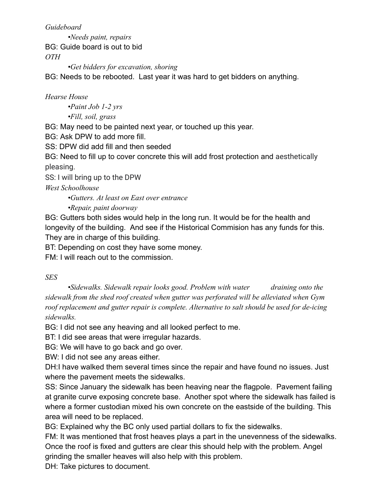*Guideboard*

*•Needs paint, repairs* BG: Guide board is out to bid *OTH*

*•Get bidders for excavation, shoring*

BG: Needs to be rebooted. Last year it was hard to get bidders on anything.

## *Hearse House*

*•Paint Job 1-2 yrs*

*•Fill, soil, grass*

BG: May need to be painted next year, or touched up this year.

BG: Ask DPW to add more fill.

SS: DPW did add fill and then seeded

BG: Need to fill up to cover concrete this will add frost protection and aesthetically pleasing.

SS: I will bring up to the DPW

*West Schoolhouse*

*•Gutters. At least on East over entrance*

*•Repair, paint doorway*

BG: Gutters both sides would help in the long run. It would be for the health and longevity of the building. And see if the Historical Commision has any funds for this. They are in charge of this building.

BT: Depending on cost they have some money.

FM: I will reach out to the commission.

## *SES*

*•Sidewalks. Sidewalk repair looks good. Problem with water draining onto the sidewalk from the shed roof created when gutter was perforated will be alleviated when Gym roof replacement and gutter repair is complete. Alternative to salt should be used for de-icing sidewalks.*

BG: I did not see any heaving and all looked perfect to me.

BT: I did see areas that were irregular hazards.

BG: We will have to go back and go over.

BW: I did not see any areas either.

DH:I have walked them several times since the repair and have found no issues. Just where the pavement meets the sidewalks.

SS: Since January the sidewalk has been heaving near the flagpole. Pavement failing at granite curve exposing concrete base. Another spot where the sidewalk has failed is where a former custodian mixed his own concrete on the eastside of the building. This area will need to be replaced.

BG: Explained why the BC only used partial dollars to fix the sidewalks.

FM: It was mentioned that frost heaves plays a part in the unevenness of the sidewalks. Once the roof is fixed and gutters are clear this should help with the problem. Angel grinding the smaller heaves will also help with this problem.

DH: Take pictures to document.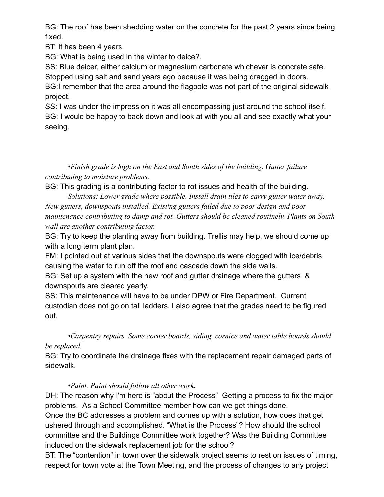BG: The roof has been shedding water on the concrete for the past 2 years since being fixed.

BT: It has been 4 years.

BG: What is being used in the winter to deice?.

SS: Blue deicer, either calcium or magnesium carbonate whichever is concrete safe. Stopped using salt and sand years ago because it was being dragged in doors.

BG:I remember that the area around the flagpole was not part of the original sidewalk project.

SS: I was under the impression it was all encompassing just around the school itself. BG: I would be happy to back down and look at with you all and see exactly what your seeing.

*•Finish grade is high on the East and South sides of the building. Gutter failure contributing to moisture problems.*

BG: This grading is a contributing factor to rot issues and health of the building.

*Solutions: Lower grade where possible. Install drain tiles to carry gutter water away. New gutters, downspouts installed. Existing gutters failed due to poor design and poor maintenance contributing to damp and rot. Gutters should be cleaned routinely. Plants on South wall are another contributing factor.*

BG: Try to keep the planting away from building. Trellis may help, we should come up with a long term plant plan.

FM: I pointed out at various sides that the downspouts were clogged with ice/debris causing the water to run off the roof and cascade down the side walls.

BG: Set up a system with the new roof and gutter drainage where the gutters & downspouts are cleared yearly.

SS: This maintenance will have to be under DPW or Fire Department. Current custodian does not go on tall ladders. I also agree that the grades need to be figured out.

*•Carpentry repairs. Some corner boards, siding, cornice and water table boards should be replaced.*

BG: Try to coordinate the drainage fixes with the replacement repair damaged parts of sidewalk.

## *•Paint. Paint should follow all other work.*

DH: The reason why I'm here is "about the Process" Getting a process to fix the major problems. As a School Committee member how can we get things done.

Once the BC addresses a problem and comes up with a solution, how does that get ushered through and accomplished. "What is the Process"? How should the school committee and the Buildings Committee work together? Was the Building Committee included on the sidewalk replacement job for the school?

BT: The "contention" in town over the sidewalk project seems to rest on issues of timing, respect for town vote at the Town Meeting, and the process of changes to any project